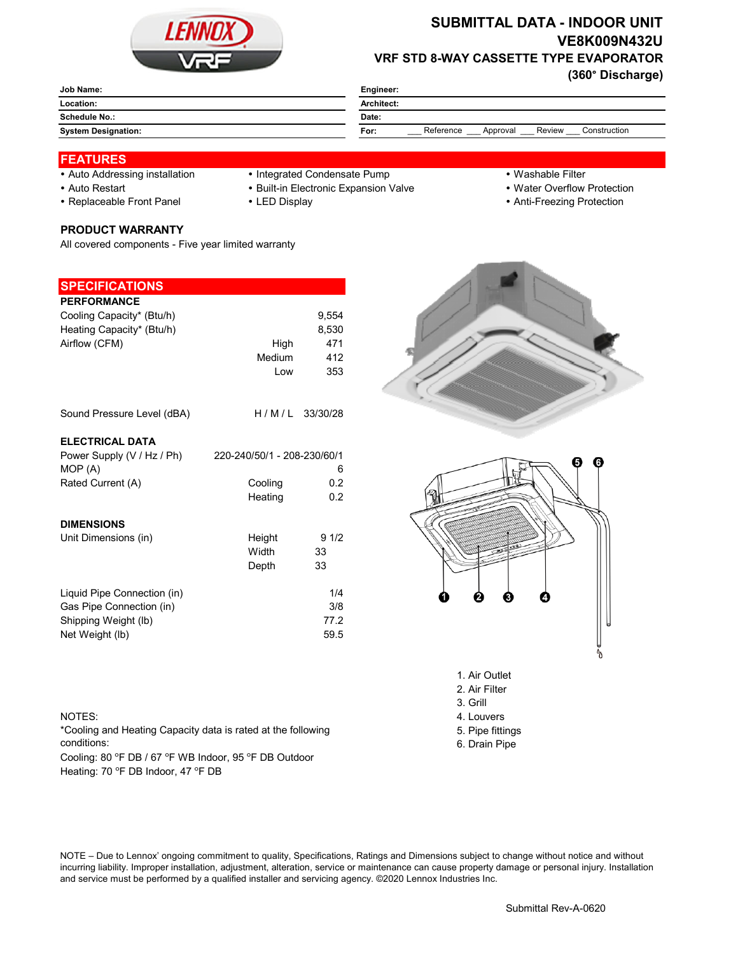

# **SUBMITTAL DATA - INDOOR UNIT VE8K009N432U VRF STD 8-WAY CASSETTE TYPE EVAPORATOR**

**(360° Discharge)**

| Job Name:                  | Engineer:                                               |  |  |
|----------------------------|---------------------------------------------------------|--|--|
| Location:                  | Architect:                                              |  |  |
| <b>Schedule No.:</b>       | Date:                                                   |  |  |
| <b>System Designation:</b> | Reference<br>Review<br>Construction<br>Approval<br>For: |  |  |
|                            |                                                         |  |  |

#### **FEATURES**

- 
- Auto Addressing installation Integrated Condensate Pump Washable Filter
- 
- 

**PRODUCT WARRANTY**

All covered components - Five year limited warranty

- 
- Auto Restart **Built-in Electronic Expansion Valve Water Overflow Protection**
- Replaceable Front Panel LED Display Anti-Freezing Protection

| <b>SPECIFICATIONS</b>       |                             |                  |
|-----------------------------|-----------------------------|------------------|
| <b>PERFORMANCE</b>          |                             |                  |
| Cooling Capacity* (Btu/h)   |                             | 9,554            |
| Heating Capacity* (Btu/h)   |                             | 8,530            |
| Airflow (CFM)               | High                        | 471              |
|                             | Medium                      | 412              |
|                             | Low                         | 353              |
| Sound Pressure Level (dBA)  |                             | $H/M/L$ 33/30/28 |
| <b>ELECTRICAL DATA</b>      |                             |                  |
| Power Supply (V / Hz / Ph)  | 220-240/50/1 - 208-230/60/1 |                  |
| MOP (A)                     |                             | 6                |
| Rated Current (A)           | Cooling                     | 0.2              |
|                             | Heating                     | 0.2              |
| <b>DIMENSIONS</b>           |                             |                  |
| Unit Dimensions (in)        | Height                      | 91/2             |
|                             | Width                       | 33               |
|                             | Depth                       | 33               |
| Liquid Pipe Connection (in) |                             | 1/4              |
| Gas Pipe Connection (in)    |                             | 3/8              |
| Shipping Weight (lb)        |                             | 77.2             |
| Net Weight (lb)             |                             | 59.5             |
|                             |                             |                  |
|                             |                             |                  |
|                             |                             |                  |

### NOTES: 4. Louvers

\*Cooling and Heating Capacity data is rated at the following conditions:

Cooling: 80 °F DB / 67 °F WB Indoor, 95 °F DB Outdoor Heating: 70 °F DB Indoor, 47 °F DB





- 1. Air Outlet
- 2. Air Filter 3. Grill
- 
- 
- 5. Pipe fittings 6. Drain Pipe

NOTE – Due to Lennox' ongoing commitment to quality, Specifications, Ratings and Dimensions subject to change without notice and without incurring liability. Improper installation, adjustment, alteration, service or maintenance can cause property damage or personal injury. Installation and service must be performed by a qualified installer and servicing agency. ©2020 Lennox Industries Inc.